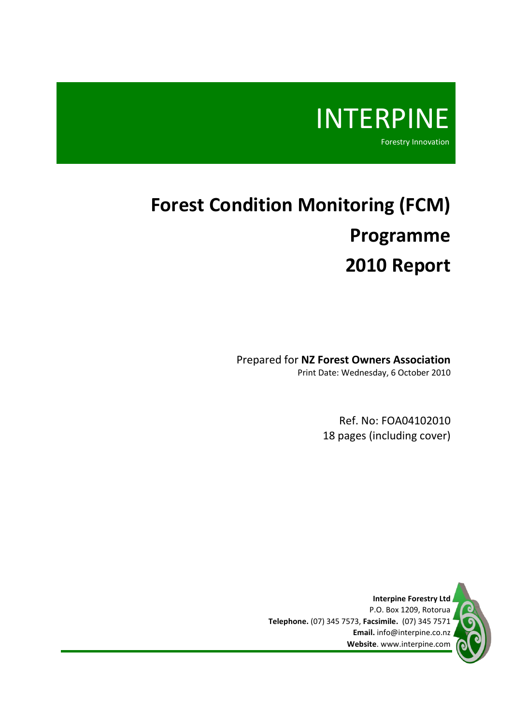

# **Forest Condition Monitoring (FCM) Programme 2010 Report**

Prepared for **NZ Forest Owners Association** Print Date: Wednesday, 6 October 2010

> Ref. No: FOA04102010 18 pages (including cover)

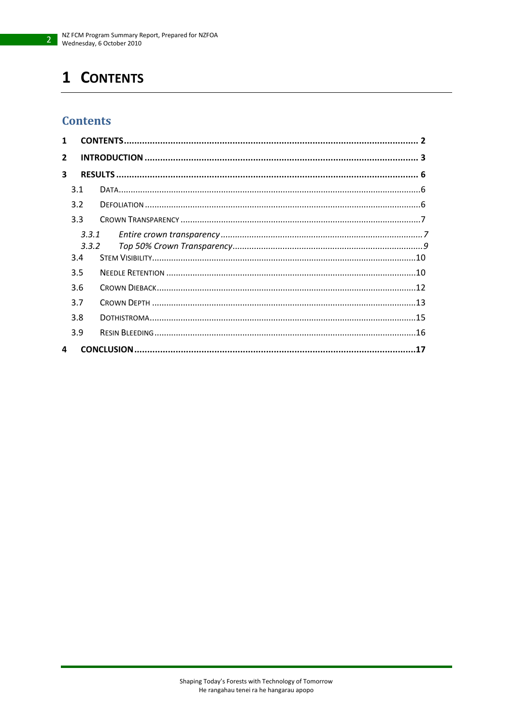# <span id="page-1-0"></span>1 CONTENTS

# **Contents**

| 1              |       |       |  |
|----------------|-------|-------|--|
| $\overline{2}$ |       |       |  |
| 3              |       |       |  |
|                | 3.1   |       |  |
|                | 3.2   |       |  |
|                | 3.3   |       |  |
|                |       | 3.3.1 |  |
|                | 3.3.2 |       |  |
|                | 3.4   |       |  |
|                | 3.5   |       |  |
|                | 3.6   |       |  |
|                | 3.7   |       |  |
|                | 3.8   |       |  |
|                | 3.9   |       |  |
| 4              |       |       |  |
|                |       |       |  |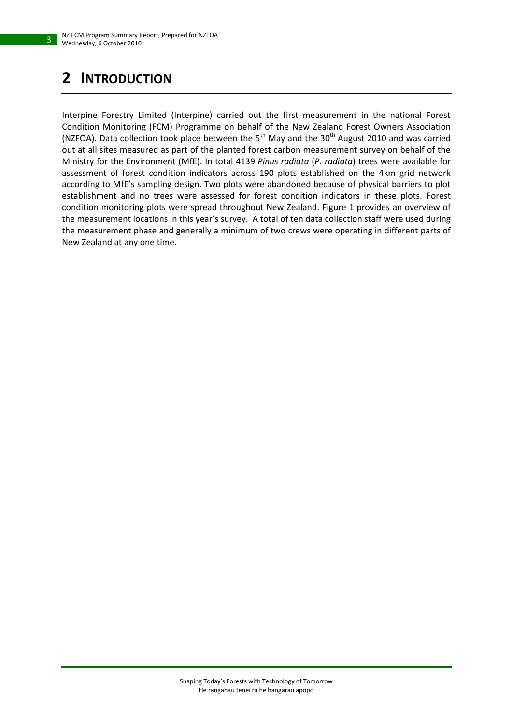# <span id="page-2-0"></span>**2 INTRODUCTION**

3

Interpine Forestry Limited (Interpine) carried out the first measurement in the national Forest Condition Monitoring (FCM) Programme on behalf of the New Zealand Forest Owners Association (NZFOA). Data collection took place between the  $5<sup>th</sup>$  May and the 30<sup>th</sup> August 2010 and was carried out at all sites measured as part of the planted forest carbon measurement survey on behalf of the Ministry for the Environment (MfE). In total 4139 *Pinus radiata* (*P. radiata*) trees were available for assessment of forest condition indicators across 190 plots established on the 4km grid network according to MfE's sampling design. Two plots were abandoned because of physical barriers to plot establishment and no trees were assessed for forest condition indicators in these plots. Forest condition monitoring plots were spread throughout New Zealand. [Figure 1](#page-3-0) provides an overview of the measurement locations in this year's survey. A total of ten data collection staff were used during the measurement phase and generally a minimum of two crews were operating in different parts of New Zealand at any one time.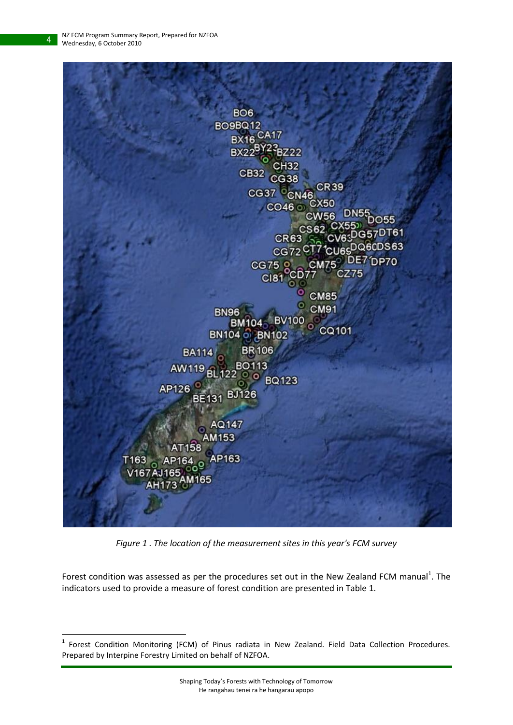4

 $\overline{a}$ 



*Figure 1 . The location of the measurement sites in this year's FCM survey*

<span id="page-3-0"></span>Forest condition was assessed as per the procedures set out in the New Zealand FCM manual<sup>1</sup>. The indicators used to provide a measure of forest condition are presented i[n Table 1.](#page-4-0)

<sup>&</sup>lt;sup>1</sup> Forest Condition Monitoring (FCM) of Pinus radiata in New Zealand. Field Data Collection Procedures. Prepared by Interpine Forestry Limited on behalf of NZFOA.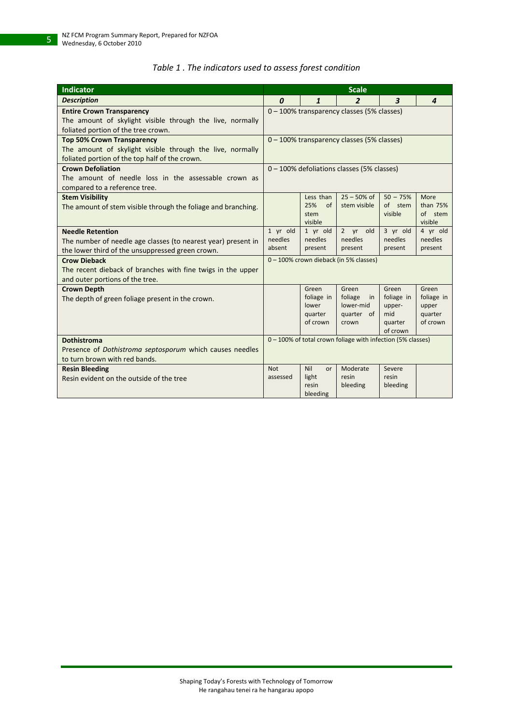| Table 1. The indicators used to assess forest condition |  |  |  |  |  |
|---------------------------------------------------------|--|--|--|--|--|
|---------------------------------------------------------|--|--|--|--|--|

<span id="page-4-0"></span>

| <b>Indicator</b>                                                                                                                                 | <b>Scale</b>                                                                    |                                                     |                                                               |                                                             |                                                     |
|--------------------------------------------------------------------------------------------------------------------------------------------------|---------------------------------------------------------------------------------|-----------------------------------------------------|---------------------------------------------------------------|-------------------------------------------------------------|-----------------------------------------------------|
| <b>Description</b>                                                                                                                               | $\boldsymbol{0}$<br>1<br>$\overline{2}$<br>$\boldsymbol{3}$<br>$\boldsymbol{4}$ |                                                     |                                                               |                                                             |                                                     |
| <b>Entire Crown Transparency</b><br>The amount of skylight visible through the live, normally<br>foliated portion of the tree crown.             |                                                                                 |                                                     | 0 - 100% transparency classes (5% classes)                    |                                                             |                                                     |
| <b>Top 50% Crown Transparency</b><br>The amount of skylight visible through the live, normally<br>foliated portion of the top half of the crown. | 0 - 100% transparency classes (5% classes)                                      |                                                     |                                                               |                                                             |                                                     |
| <b>Crown Defoliation</b><br>The amount of needle loss in the assessable crown as<br>compared to a reference tree.                                |                                                                                 |                                                     | 0 - 100% defoliations classes (5% classes)                    |                                                             |                                                     |
| <b>Stem Visibility</b><br>The amount of stem visible through the foliage and branching.                                                          |                                                                                 | Less than<br>25%<br>of<br>stem<br>visible           | $25 - 50\%$ of<br>stem visible                                | $50 - 75%$<br>of stem<br>visible                            | More<br>than 75%<br>of stem<br>visible              |
| <b>Needle Retention</b><br>The number of needle age classes (to nearest year) present in<br>the lower third of the unsuppressed green crown.     | 1 yr old<br>needles<br>absent                                                   | 1 yr old<br>needles<br>present                      | 2 yr old<br>needles<br>present                                | 3 yr old<br>needles<br>present                              | 4 yr old<br>needles<br>present                      |
| <b>Crow Dieback</b><br>The recent dieback of branches with fine twigs in the upper<br>and outer portions of the tree.                            |                                                                                 |                                                     | 0-100% crown dieback (in 5% classes)                          |                                                             |                                                     |
| <b>Crown Depth</b><br>The depth of green foliage present in the crown.                                                                           |                                                                                 | Green<br>foliage in<br>lower<br>quarter<br>of crown | Green<br>foliage<br>in<br>lower-mid<br>quarter<br>of<br>crown | Green<br>foliage in<br>upper-<br>mid<br>quarter<br>of crown | Green<br>foliage in<br>upper<br>quarter<br>of crown |
| <b>Dothistroma</b><br>Presence of Dothistroma septosporum which causes needles<br>to turn brown with red bands.                                  |                                                                                 |                                                     | 0 - 100% of total crown foliage with infection (5% classes)   |                                                             |                                                     |
| <b>Resin Bleeding</b><br>Resin evident on the outside of the tree                                                                                | <b>Not</b><br>assessed                                                          | Nil<br>or<br>light<br>resin<br>bleeding             | Moderate<br>resin<br>bleeding                                 | Severe<br>resin<br>bleeding                                 |                                                     |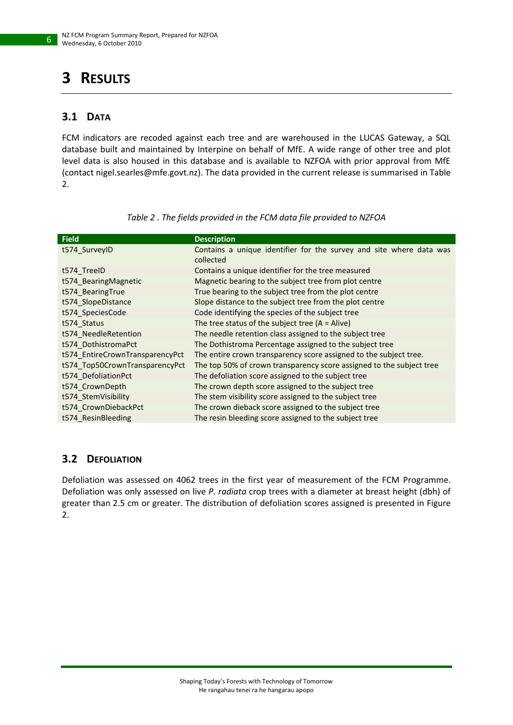# <span id="page-5-0"></span>**3 RESULTS**

### <span id="page-5-1"></span>**3.1 DATA**

FCM indicators are recoded against each tree and are warehoused in the LUCAS Gateway, a SQL database built and maintained by Interpine on behalf of MfE. A wide range of other tree and plot level data is also housed in this database and is available to NZFOA with prior approval from MfE (contact nigel.searles@mfe.govt.nz). The data provided in the current release is summarised in [Table](#page-5-3)  [2.](#page-5-3)

<span id="page-5-3"></span>

| <b>Field</b>                    | <b>Description</b>                                                               |
|---------------------------------|----------------------------------------------------------------------------------|
| t574 SurveyID                   | Contains a unique identifier for the survey and site where data was<br>collected |
| t574 TreeID                     | Contains a unique identifier for the tree measured                               |
| t574 BearingMagnetic            | Magnetic bearing to the subject tree from plot centre                            |
| t574 Bearing True               | True bearing to the subject tree from the plot centre                            |
| t574_SlopeDistance              | Slope distance to the subject tree from the plot centre                          |
| t574 SpeciesCode                | Code identifying the species of the subject tree                                 |
| t574 Status                     | The tree status of the subject tree $(A = A$ live)                               |
| t574 NeedleRetention            | The needle retention class assigned to the subject tree                          |
| t574 DothistromaPct             | The Dothistroma Percentage assigned to the subject tree                          |
| t574 EntireCrownTransparencyPct | The entire crown transparency score assigned to the subject tree.                |
| t574 Top50CrownTransparencyPct  | The top 50% of crown transparency score assigned to the subject tree             |
| t574 DefoliationPct             | The defoliation score assigned to the subject tree                               |
| t574 CrownDepth                 | The crown depth score assigned to the subject tree                               |
| t574 StemVisibility             | The stem visibility score assigned to the subject tree                           |
| t574 CrownDiebackPct            | The crown dieback score assigned to the subject tree                             |
| t574 ResinBleeding              | The resin bleeding score assigned to the subject tree                            |

*Table 2 . The fields provided in the FCM data file provided to NZFOA*

### <span id="page-5-2"></span>**3.2 DEFOLIATION**

Defoliation was assessed on 4062 trees in the first year of measurement of the FCM Programme. Defoliation was only assessed on live *P. radiata* crop trees with a diameter at breast height (dbh) of greater than 2.5 cm or greater. The distribution of defoliation scores assigned is presented in [Figure](#page-6-2)  [2.](#page-6-2)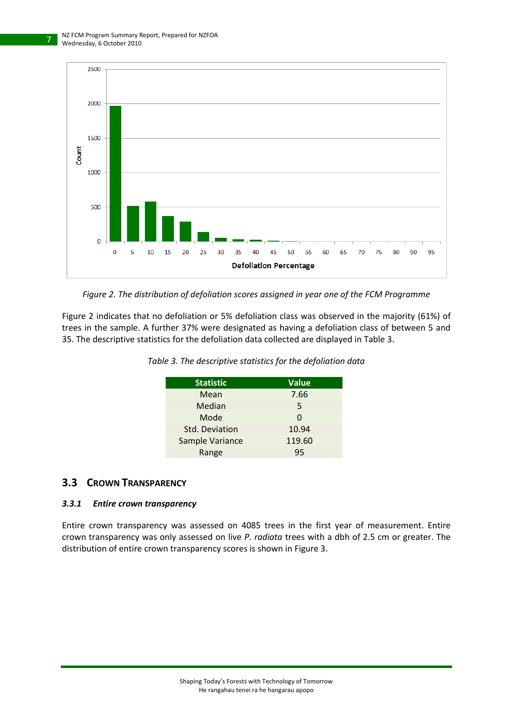

<span id="page-6-2"></span>*Figure 2. The distribution of defoliation scores assigned in year one of the FCM Programme*

<span id="page-6-3"></span>[Figure 2](#page-6-2) indicates that no defoliation or 5% defoliation class was observed in the majority (61%) of trees in the sample. A further 37% were designated as having a defoliation class of between 5 and 35. The descriptive statistics for the defoliation data collected are displayed i[n Table 3.](#page-6-3)

| <b>Statistic</b>      | <b>Value</b> |
|-----------------------|--------------|
| Mean                  | 7.66         |
| Median                | 5            |
| Mode                  |              |
| <b>Std. Deviation</b> | 10.94        |
| Sample Variance       | 119.60       |
| Range                 | 95           |

*Table 3. The descriptive statistics for the defoliation data*

#### <span id="page-6-0"></span>**3.3 CROWN TRANSPARENCY**

#### <span id="page-6-1"></span>*3.3.1 Entire crown transparency*

Entire crown transparency was assessed on 4085 trees in the first year of measurement. Entire crown transparency was only assessed on live *P. radiata* trees with a dbh of 2.5 cm or greater. The distribution of entire crown transparency scores is shown in Figure 3.

7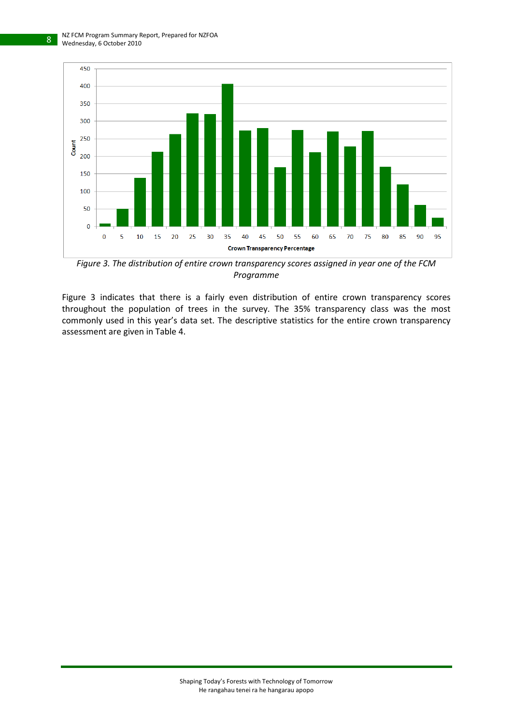

*Figure 3. The distribution of entire crown transparency scores assigned in year one of the FCM Programme*

Figure 3 indicates that there is a fairly even distribution of entire crown transparency scores throughout the population of trees in the survey. The 35% transparency class was the most commonly used in this year's data set. The descriptive statistics for the entire crown transparency assessment are given i[n Table 4.](#page-8-1)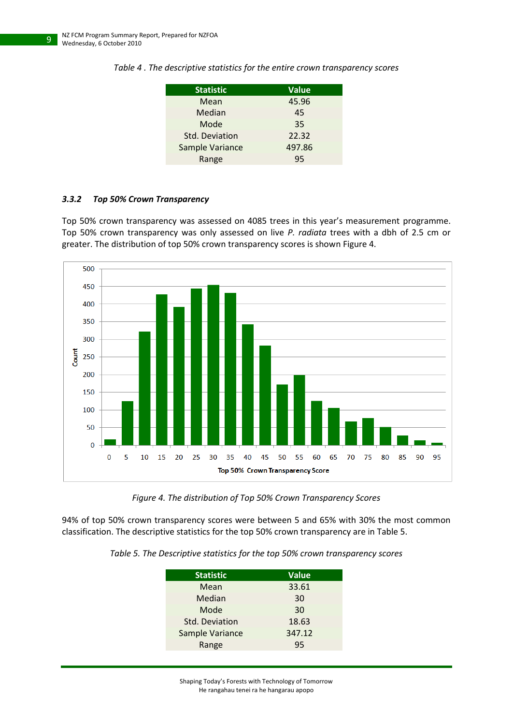| <b>Statistic</b> | <b>Value</b> |
|------------------|--------------|
| Mean             | 45.96        |
| Median           | 45           |
| Mode             | 35           |
| Std. Deviation   | 22.32        |
| Sample Variance  | 497.86       |
| Range            | 95           |

<span id="page-8-1"></span>*Table 4 . The descriptive statistics for the entire crown transparency scores*

#### <span id="page-8-0"></span>*3.3.2 Top 50% Crown Transparency*

Top 50% crown transparency was assessed on 4085 trees in this year's measurement programme. Top 50% crown transparency was only assessed on live *P. radiata* trees with a dbh of 2.5 cm or greater. The distribution of top 50% crown transparency scores is shown [Figure 4.](#page-8-2)



*Figure 4. The distribution of Top 50% Crown Transparency Scores*

<span id="page-8-3"></span><span id="page-8-2"></span>94% of top 50% crown transparency scores were between 5 and 65% with 30% the most common classification. The descriptive statistics for the top 50% crown transparency are in [Table 5.](#page-8-3)

*Table 5. The Descriptive statistics for the top 50% crown transparency scores*

| <b>Statistic</b>      | <b>Value</b> |
|-----------------------|--------------|
| Mean                  | 33.61        |
| Median                | 30           |
| Mode                  | 30           |
| <b>Std. Deviation</b> | 18.63        |
| Sample Variance       | 347.12       |
| Range                 | 95           |
|                       |              |

Shaping Today's Forests with Technology of Tomorrow He rangahau tenei ra he hangarau apopo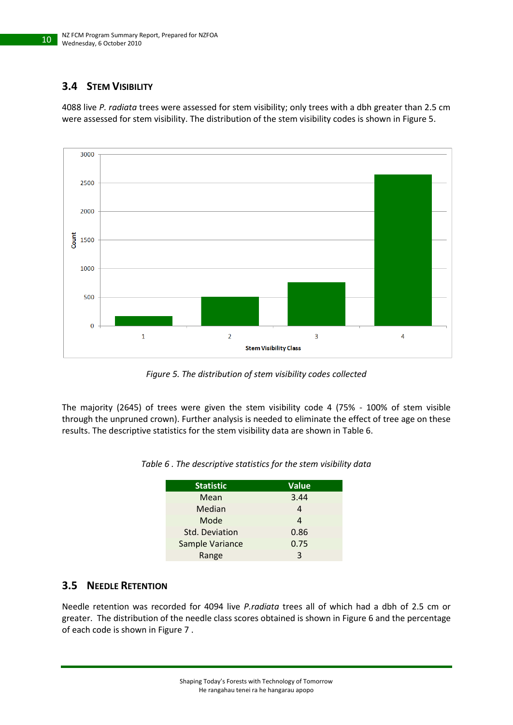## <span id="page-9-0"></span>**3.4 STEM VISIBILITY**

4088 live *P. radiata* trees were assessed for stem visibility; only trees with a dbh greater than 2.5 cm were assessed for stem visibility. The distribution of the stem visibility codes is shown i[n Figure 5.](#page-9-2)



*Figure 5. The distribution of stem visibility codes collected*

<span id="page-9-3"></span><span id="page-9-2"></span>The majority (2645) of trees were given the stem visibility code 4 (75% - 100% of stem visible through the unpruned crown). Further analysis is needed to eliminate the effect of tree age on these results. The descriptive statistics for the stem visibility data are shown in [Table 6.](#page-9-3)

| <b>Statistic</b> | <b>Value</b> |
|------------------|--------------|
| Mean             | 3.44         |
| Median           | 4            |
| Mode             | 4            |
| Std. Deviation   | 0.86         |
| Sample Variance  | 0.75         |
| Range            | ર            |

#### *Table 6 . The descriptive statistics for the stem visibility data*

#### <span id="page-9-1"></span>**3.5 NEEDLE RETENTION**

Needle retention was recorded for 4094 live *P.radiata* trees all of which had a dbh of 2.5 cm or greater. The distribution of the needle class scores obtained is shown i[n Figure 6](#page-10-0) and the percentage of each code is shown i[n Figure 7](#page-10-1) .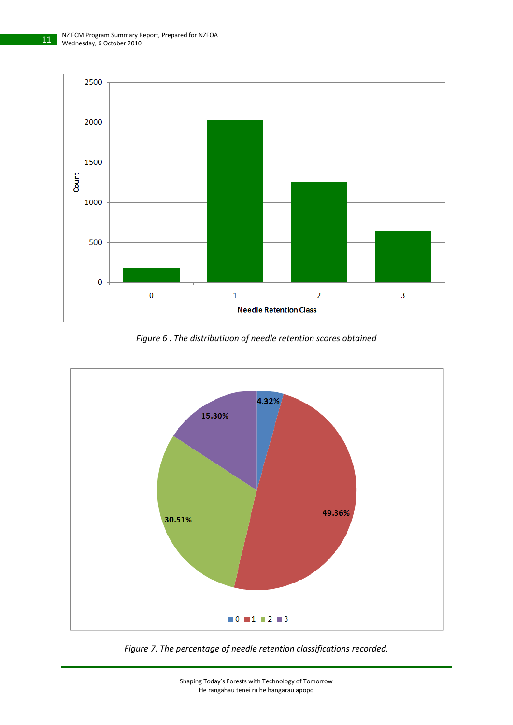

*Figure 6 . The distributiuon of needle retention scores obtained*

<span id="page-10-0"></span>

<span id="page-10-1"></span>*Figure 7. The percentage of needle retention classifications recorded.*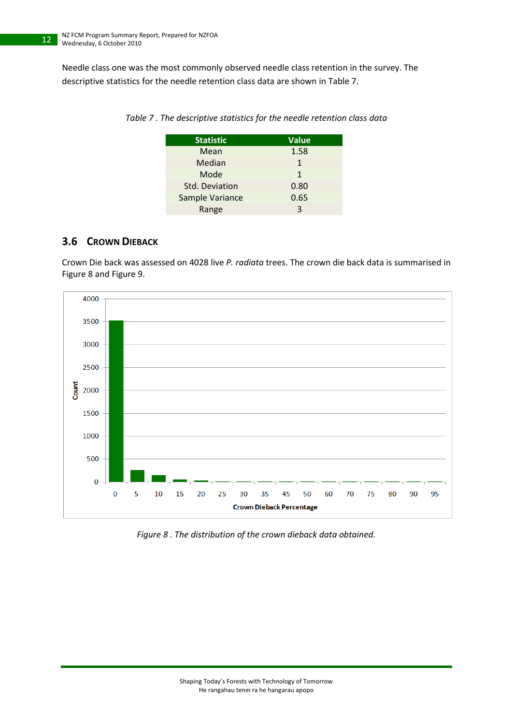<span id="page-11-1"></span>Needle class one was the most commonly observed needle class retention in the survey. The descriptive statistics for the needle retention class data are shown in [Table 7.](#page-11-1)

| <b>Statistic</b> | <b>Value</b> |
|------------------|--------------|
| Mean             | 1.58         |
| Median           | 1            |
| Mode             | 1            |
| Std. Deviation   | 0.80         |
| Sample Variance  | 0.65         |
| Range            | 3            |

*Table 7 . The descriptive statistics for the needle retention class data*

### <span id="page-11-0"></span>**3.6 CROWN DIEBACK**

Crown Die back was assessed on 4028 live *P. radiata* trees. The crown die back data is summarised in [Figure 8](#page-11-2) an[d Figure 9.](#page-12-1)



<span id="page-11-2"></span>*Figure 8 . The distribution of the crown dieback data obtained.*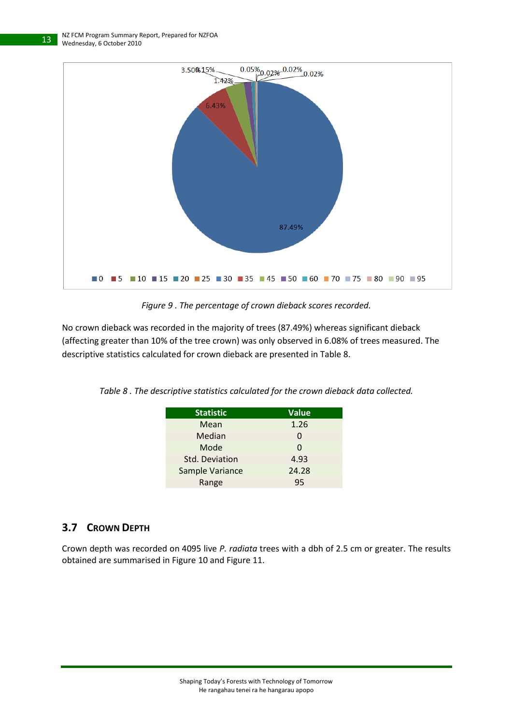

*Figure 9 . The percentage of crown dieback scores recorded.*

<span id="page-12-1"></span>No crown dieback was recorded in the majority of trees (87.49%) whereas significant dieback (affecting greater than 10% of the tree crown) was only observed in 6.08% of trees measured. The descriptive statistics calculated for crown dieback are presented in [Table 8.](#page-12-2)

<span id="page-12-2"></span>

|  | Table 8. The descriptive statistics calculated for the crown dieback data collected. |  |  |  |  |  |
|--|--------------------------------------------------------------------------------------|--|--|--|--|--|
|--|--------------------------------------------------------------------------------------|--|--|--|--|--|

| <b>Statistic</b> | <b>Value</b> |
|------------------|--------------|
| Mean             | 1.26         |
| Median           | $\mathbf{I}$ |
| Mode             | 0            |
| Std. Deviation   | 4.93         |
| Sample Variance  | 24.28        |
| Range            | 95           |

### <span id="page-12-0"></span>**3.7 CROWN DEPTH**

Crown depth was recorded on 4095 live *P. radiata* trees with a dbh of 2.5 cm or greater. The results obtained are summarised in [Figure 10](#page-13-0) and [Figure 11.](#page-13-1)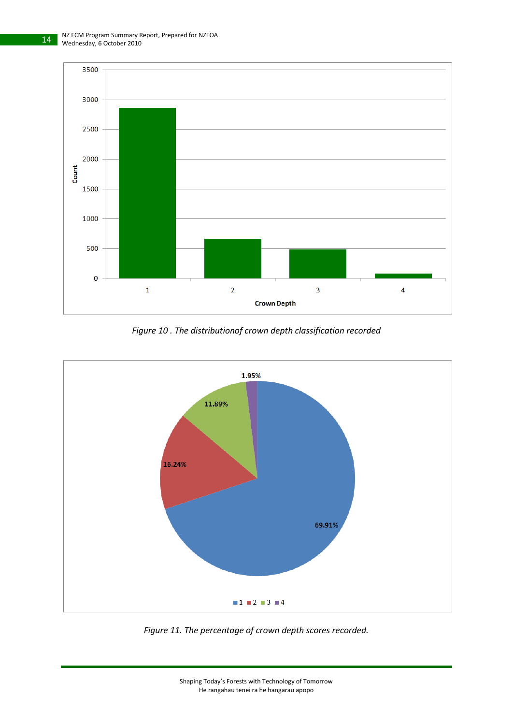

*Figure 10 . The distributionof crown depth classification recorded*

<span id="page-13-0"></span>

<span id="page-13-1"></span>*Figure 11. The percentage of crown depth scores recorded.*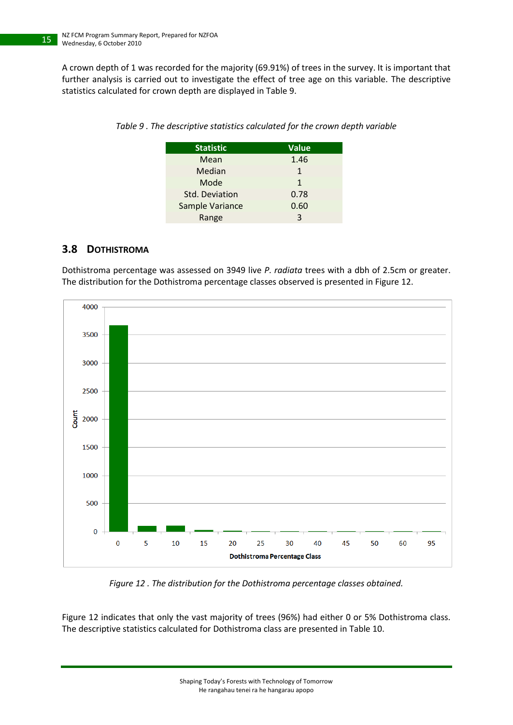15

<span id="page-14-1"></span>A crown depth of 1 was recorded for the majority (69.91%) of trees in the survey. It is important that further analysis is carried out to investigate the effect of tree age on this variable. The descriptive statistics calculated for crown depth are displayed in [Table 9.](#page-14-1)

| <b>Statistic</b> | <b>Value</b> |
|------------------|--------------|
| Mean             | 1.46         |
| Median           | 1            |
| Mode             | 1            |
| Std. Deviation   | 0.78         |
| Sample Variance  | 0.60         |
| Range            | ς            |

*Table 9 . The descriptive statistics calculated for the crown depth variable*

#### <span id="page-14-0"></span>**3.8 DOTHISTROMA**

Dothistroma percentage was assessed on 3949 live *P. radiata* trees with a dbh of 2.5cm or greater. The distribution for the Dothistroma percentage classes observed is presented i[n Figure 12.](#page-14-2)



*Figure 12 . The distribution for the Dothistroma percentage classes obtained.*

<span id="page-14-2"></span>[Figure 12](#page-14-2) indicates that only the vast majority of trees (96%) had either 0 or 5% Dothistroma class. The descriptive statistics calculated for Dothistroma class are presented in [Table 10.](#page-15-1)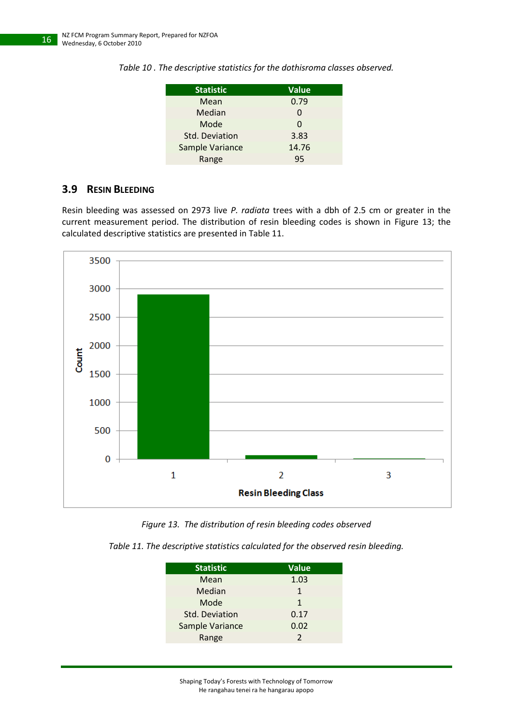| <b>Statistic</b> | <b>Value</b> |
|------------------|--------------|
| Mean             | 0.79         |
| Median           | 0            |
| Mode             | 0            |
| Std. Deviation   | 3.83         |
| Sample Variance  | 14.76        |
| Range            | 95           |

<span id="page-15-1"></span>*Table 10 . The descriptive statistics for the dothisroma classes observed.*

#### <span id="page-15-0"></span>**3.9 RESIN BLEEDING**

Resin bleeding was assessed on 2973 live *P. radiata* trees with a dbh of 2.5 cm or greater in the current measurement period. The distribution of resin bleeding codes is shown in [Figure 13;](#page-15-2) the calculated descriptive statistics are presented in [Table 11.](#page-15-3)



*Figure 13. The distribution of resin bleeding codes observed*

<span id="page-15-3"></span><span id="page-15-2"></span>

| Table 11. The descriptive statistics calculated for the observed resin bleeding. |  |
|----------------------------------------------------------------------------------|--|
|----------------------------------------------------------------------------------|--|

| <b>Statistic</b>      | <b>Value</b>  |
|-----------------------|---------------|
| Mean                  | 1.03          |
| Median                | 1             |
| Mode                  | 1             |
| <b>Std. Deviation</b> | 0.17          |
| Sample Variance       | 0.02          |
| Range                 | $\mathcal{P}$ |

Shaping Today's Forests with Technology of Tomorrow

He rangahau tenei ra he hangarau apopo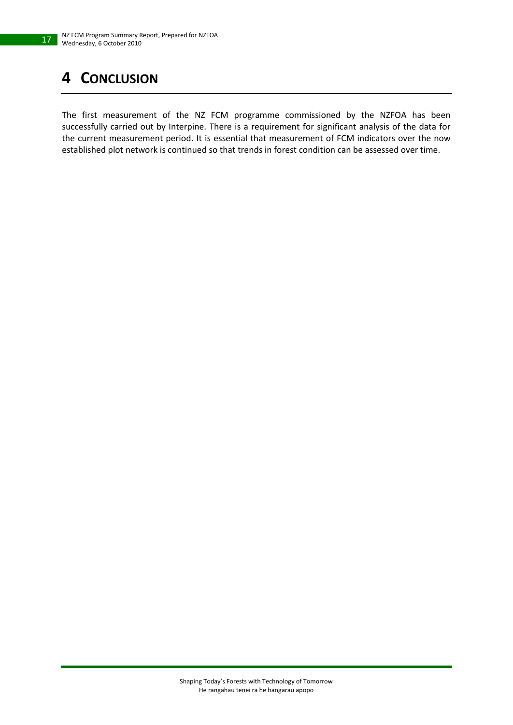# <span id="page-16-0"></span>**4 CONCLUSION**

17

The first measurement of the NZ FCM programme commissioned by the NZFOA has been successfully carried out by Interpine. There is a requirement for significant analysis of the data for the current measurement period. It is essential that measurement of FCM indicators over the now established plot network is continued so that trends in forest condition can be assessed over time.